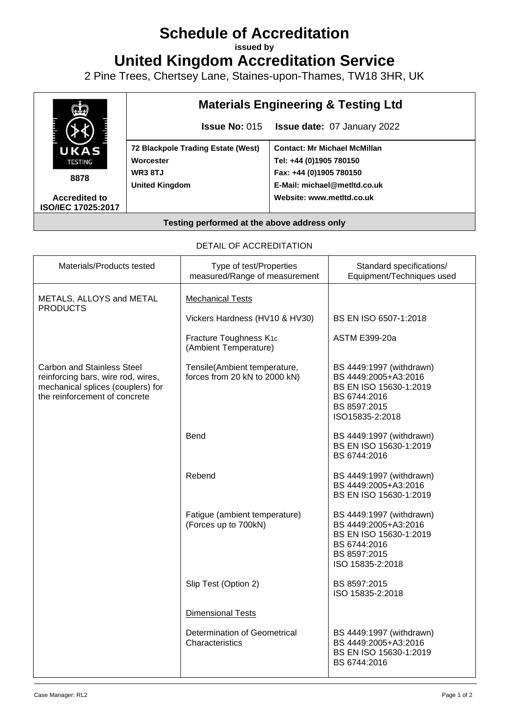## **Schedule of Accreditation**

**issued by**

**United Kingdom Accreditation Service**

2 Pine Trees, Chertsey Lane, Staines-upon-Thames, TW18 3HR, UK



## DETAIL OF ACCREDITATION

| Materials/Products tested                                                                                                                     | Type of test/Properties<br>measured/Range of measurement      | Standard specifications/<br>Equipment/Techniques used                                                                          |
|-----------------------------------------------------------------------------------------------------------------------------------------------|---------------------------------------------------------------|--------------------------------------------------------------------------------------------------------------------------------|
| METALS, ALLOYS and METAL<br><b>PRODUCTS</b>                                                                                                   | <b>Mechanical Tests</b>                                       |                                                                                                                                |
|                                                                                                                                               | Vickers Hardness (HV10 & HV30)                                | BS EN ISO 6507-1:2018                                                                                                          |
|                                                                                                                                               | Fracture Toughness K <sub>1c</sub><br>(Ambient Temperature)   | <b>ASTM E399-20a</b>                                                                                                           |
| <b>Carbon and Stainless Steel</b><br>reinforcing bars, wire rod, wires,<br>mechanical splices (couplers) for<br>the reinforcement of concrete | Tensile(Ambient temperature,<br>forces from 20 kN to 2000 kN) | BS 4449:1997 (withdrawn)<br>BS 4449:2005+A3:2016<br>BS EN ISO 15630-1:2019<br>BS 6744:2016<br>BS 8597:2015<br>ISO15835-2:2018  |
|                                                                                                                                               | <b>Bend</b>                                                   | BS 4449:1997 (withdrawn)<br>BS EN ISO 15630-1:2019<br>BS 6744:2016                                                             |
|                                                                                                                                               | Rebend                                                        | BS 4449:1997 (withdrawn)<br>BS 4449:2005+A3:2016<br>BS EN ISO 15630-1:2019                                                     |
|                                                                                                                                               | Fatigue (ambient temperature)<br>(Forces up to 700kN)         | BS 4449:1997 (withdrawn)<br>BS 4449:2005+A3:2016<br>BS EN ISO 15630-1:2019<br>BS 6744:2016<br>BS 8597:2015<br>ISO 15835-2:2018 |
|                                                                                                                                               | Slip Test (Option 2)                                          | BS 8597:2015<br>ISO 15835-2:2018                                                                                               |
|                                                                                                                                               | Dimensional Tests                                             |                                                                                                                                |
|                                                                                                                                               | Determination of Geometrical<br>Characteristics               | BS 4449:1997 (withdrawn)<br>BS 4449:2005+A3:2016<br>BS EN ISO 15630-1:2019<br>BS 6744:2016                                     |